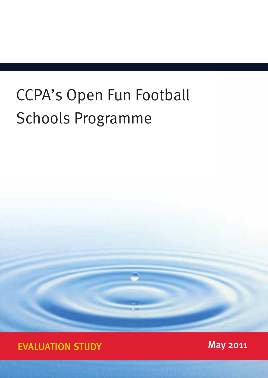# CCPA's Open Fun Football Schools Programme

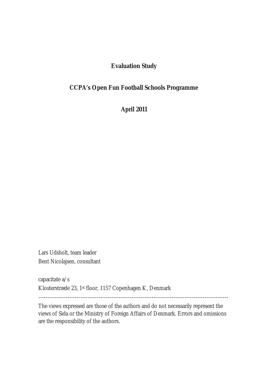## **Evaluation Study**

# **CCPA's Open Fun Football Schools Programme**

**April 2011** 

Lars Udsholt, team leader Bent Nicolajsen, consultant

capacitate a/s Klosterstræde 23, 1st floor, 1157 Copenhagen K, Denmark

--------------------------------------------------------------------------------------------------------

The views expressed are those of the authors and do not necessarily represent the views of Sida or the Ministry of Foreign Affairs of Denmark. Errors and omissions are the responsibility of the authors.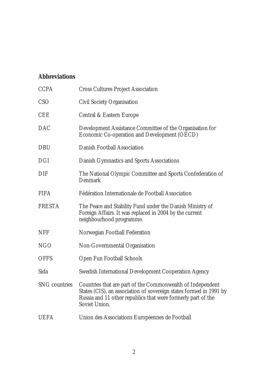# **Abbreviations**

| <b>CCPA</b>          | <b>Cross Cultures Project Association</b>                                                                                                                                                                         |
|----------------------|-------------------------------------------------------------------------------------------------------------------------------------------------------------------------------------------------------------------|
| CSO                  | Civil Society Organisation                                                                                                                                                                                        |
| <b>CEE</b>           | Central & Eastern Europe                                                                                                                                                                                          |
| <b>DAC</b>           | Development Assistance Committee of the Organisation for<br>Economic Co-operation and Development (OECD)                                                                                                          |
| <b>DBU</b>           | Danish Football Association                                                                                                                                                                                       |
| <b>DGI</b>           | Danish Gymnastics and Sports Associations                                                                                                                                                                         |
| DIF                  | The National Olympic Committee and Sports Confederation of<br>Denmark                                                                                                                                             |
| <b>FIFA</b>          | Fédération Internationale de Football Association                                                                                                                                                                 |
| <b>FRESTA</b>        | The Peace and Stability Fund under the Danish Ministry of<br>Foreign Affairs. It was replaced in 2004 by the current<br>neighbourhood programme.                                                                  |
| <b>NFF</b>           | Norwegian Football Federation                                                                                                                                                                                     |
| <b>NGO</b>           | Non-Governmental Organisation                                                                                                                                                                                     |
| <b>OFFS</b>          | Open Fun Football Schools                                                                                                                                                                                         |
| Sida                 | Swedish International Development Cooperation Agency                                                                                                                                                              |
| <b>SNG countries</b> | Countries that are part of the Commonwealth of Independent<br>States (CIS), an association of sovereign states formed in 1991 by<br>Russia and 11 other republics that were formerly part of the<br>Soviet Union. |
| <b>UEFA</b>          | Union des Associations Européennes de Football                                                                                                                                                                    |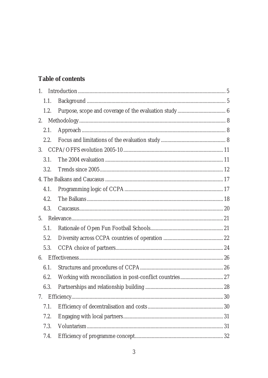# Table of contents

| $1_{\cdot}$ |  |
|-------------|--|
| 1.1.        |  |
| 1.2.        |  |
| 2.          |  |
| 2.1.        |  |
| 2.2.        |  |
|             |  |
| 3.1.        |  |
| 3.2.        |  |
|             |  |
| 4.1.        |  |
| 4.2.        |  |
| 4.3.        |  |
| 5.          |  |
| 5.1.        |  |
| 5.2.        |  |
| 5.3.        |  |
| 6.          |  |
| 6.1.        |  |
| 6.2.        |  |
| 6.3.        |  |
| 7.          |  |
| 7.1.        |  |
| 7.2.        |  |
| 7.3.        |  |
| 7.4.        |  |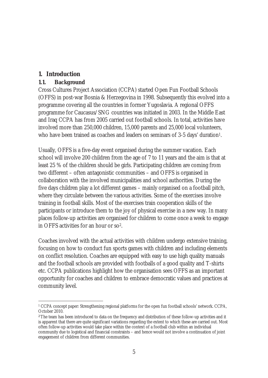## **1. Introduction**

#### **1.1. Background**

Cross Cultures Project Association (CCPA) started Open Fun Football Schools (OFFS) in post-war Bosnia & Herzegovina in 1998. Subsequently this evolved into a programme covering all the countries in former Yugoslavia. A regional OFFS programme for Caucasus/SNG countries was initiated in 2003. In the Middle East and Iraq CCPA has from 2005 carried out football schools. In total, activities have involved more than 250,000 children, 15,000 parents and 25,000 local volunteers, who have been trained as coaches and leaders on seminars of 3-5 days' duration<sup>1</sup>.

Usually, OFFS is a five-day event organised during the summer vacation. Each school will involve 200 children from the age of 7 to 11 years and the aim is that at least 25 % of the children should be girls. Participating children are coming from two different – often antagonistic communities – and OFFS is organised in collaboration with the involved municipalities and school authorities. During the five days children play a lot different games – mainly organised on a football pitch, where they circulate between the various activities. Some of the exercises involve training in football skills. Most of the exercises train cooperation skills of the participants or introduce them to the joy of physical exercise in a new way. In many places follow-up activities are organised for children to come once a week to engage in OFFS activities for an hour or so2.

Coaches involved with the actual activities with children undergo extensive training, focusing on how to conduct fun sports games with children and including elements on conflict resolution. Coaches are equipped with easy to use high quality manuals and the football schools are provided with footballs of a good quality and T-shirts etc. CCPA publications highlight how the organisation sees OFFS as an important opportunity for coaches and children to embrace democratic values and practices at community level.

 $\overline{a}$ 1 CCPA concept paper: Strengthening regional platforms for the open fun football schools' network. CCPA, October 2010.

<sup>2</sup>The team has been introduced to data on the frequency and distribution of these follow-up activities and it is apparent that there are quite significant variations regarding the extent to which these are carried out. Most often follow-up activities would take place within the context of a football club within an individual community due to logistical and financial constraints – and hence would not involve a continuation of joint engagement of children from different communities.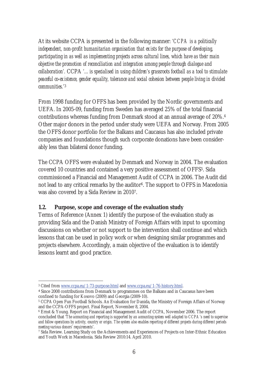At its website CCPA is presented in the following manner: *'CCPA is a politically independent, non-profit humanitarian organisation that exists for the purpose of developing, participating in as well as implementing projects across cultural lines, which have as their main objective the promotion of reconciliation and integration among people through dialogue and collaboration'.* CCPA *'... is specialised in using children's grassroots football as a tool to stimulate peaceful co-existence, gender equality, tolerance and social cohesion between people living in divided communities.'*<sup>3</sup>

From 1998 funding for OFFS has been provided by the Nordic governments and UEFA. In 2005-09, funding from Sweden has averaged 25% of the total financial contributions whereas funding from Denmark stood at an annual average of 20%.4 Other major donors in the period under study were UEFA and Norway. From 2005 the OFFS donor portfolio for the Balkans and Caucasus has also included private companies and foundations though such corporate donations have been considerably less than bilateral donor funding.

The CCPA OFFS were evaluated by Denmark and Norway in 2004. The evaluation covered 10 countries and contained a very positive assessment of OFFS5. Sida commissioned a Financial and Management Audit of CCPA in 2006. The Audit did not lead to any critical remarks by the auditor<sup>6</sup>. The support to OFFS in Macedonia was also covered by a Sida Review in 20107.

## **1.2. Purpose, scope and coverage of the evaluation study**

Terms of Reference (Annex 1) identify the purpose of the evaluation study as providing Sida and the Danish Ministry of Foreign Affairs with input to upcoming discussions on whether or not support to the intervention shall continue and which lessons that can be used in policy work or when designing similar programmes and projects elsewhere. Accordingly, a main objective of the evaluation is to identify lessons learnt and good practice.

 $\overline{a}$ 3 Cited from www.ccpa.eu/1-73-purpose.html and www.ccpa.eu/1-76-history.html.

<sup>4</sup> Since 2008 contributions from Denmark to programmes on the Balkans and in Caucasus have been confined to funding for Kosovo (2009) and Georgia (2009-10).

<sup>5</sup> CCPA Open Fun Football Schools. An Evaluation for Danida, the Ministry of Foreign Affairs of Norway and the CCPA-OFFS project. Final Report, November 8, 2004.

<sup>6</sup> Ernst & Young. Report on Financial and Management Audit of CCPA, November 2006. The report concluded that '*The accounting and reporting is supported by an accounting system well adapted to CCPA's need to supervise and follow operations by activity, country or origin. The system also enables reporting of different projects during different periods meeting various donors' requirements*'.

<sup>7</sup> Sida Review. Learning Study on the Achievements and Experiences of Projects on Inter-Ethnic Education and Youth Work in Macedonia. Sida Review 2010:14. April 2010.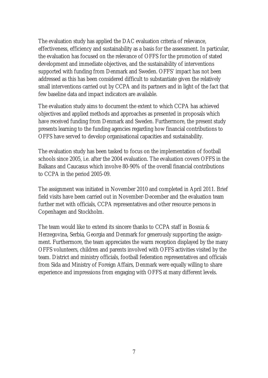The evaluation study has applied the DAC evaluation criteria of relevance, effectiveness, efficiency and sustainability as a basis for the assessment. In particular, the evaluation has focused on the relevance of OFFS for the promotion of stated development and immediate objectives, and the sustainability of interventions supported with funding from Denmark and Sweden. OFFS' impact has not been addressed as this has been considered difficult to substantiate given the relatively small interventions carried out by CCPA and its partners and in light of the fact that few baseline data and impact indicators are available.

The evaluation study aims to document the extent to which CCPA has achieved objectives and applied methods and approaches as presented in proposals which have received funding from Denmark and Sweden. Furthermore, the present study presents learning to the funding agencies regarding how financial contributions to OFFS have served to develop organisational capacities and sustainability.

The evaluation study has been tasked to focus on the implementation of football schools since 2005, i.e. after the 2004 evaluation. The evaluation covers OFFS in the Balkans and Caucasus which involve 80-90% of the overall financial contributions to CCPA in the period 2005-09.

The assignment was initiated in November 2010 and completed in April 2011. Brief field visits have been carried out in November-December and the evaluation team further met with officials, CCPA representatives and other resource persons in Copenhagen and Stockholm.

The team would like to extend its sincere thanks to CCPA staff in Bosnia & Herzegovina, Serbia, Georgia and Denmark for generously supporting the assignment. Furthermore, the team appreciates the warm reception displayed by the many OFFS volunteers, children and parents involved with OFFS activities visited by the team. District and ministry officials, football federation representatives and officials from Sida and Ministry of Foreign Affairs, Denmark were equally willing to share experience and impressions from engaging with OFFS at many different levels.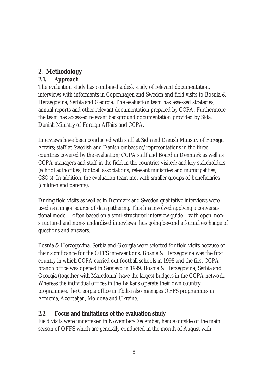# **2. Methodology**

# **2.1. Approach**

The evaluation study has combined a desk study of relevant documentation, interviews with informants in Copenhagen and Sweden and field visits to Bosnia & Herzegovina, Serbia and Georgia. The evaluation team has assessed strategies, annual reports and other relevant documentation prepared by CCPA. Furthermore, the team has accessed relevant background documentation provided by Sida, Danish Ministry of Foreign Affairs and CCPA.

Interviews have been conducted with staff at Sida and Danish Ministry of Foreign Affairs; staff at Swedish and Danish embassies/representations in the three countries covered by the evaluation; CCPA staff and Board in Denmark as well as CCPA managers and staff in the field in the countries visited; and key stakeholders (school authorities, football associations, relevant ministries and municipalities, CSOs). In addition, the evaluation team met with smaller groups of beneficiaries (children and parents).

During field visits as well as in Denmark and Sweden qualitative interviews were used as a major source of data gathering. This has involved applying a conversational model – often based on a semi-structured interview guide – with open, nonstructured and non-standardised interviews thus going beyond a formal exchange of questions and answers.

Bosnia & Herzegovina, Serbia and Georgia were selected for field visits because of their significance for the OFFS interventions. Bosnia & Herzegovina was the first country in which CCPA carried out football schools in 1998 and the first CCPA branch office was opened in Sarajevo in 1999. Bosnia & Herzegovina, Serbia and Georgia (together with Macedonia) have the largest budgets in the CCPA network. Whereas the individual offices in the Balkans operate their own country programmes, the Georgia office in Tbilisi also manages OFFS programmes in Armenia, Azerbaijan, Moldova and Ukraine.

# **2.2. Focus and limitations of the evaluation study**

Field visits were undertaken in November-December; hence outside of the main season of OFFS which are generally conducted in the month of August with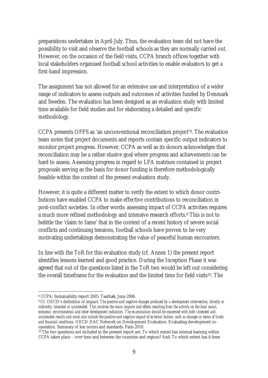preparations undertaken in April-July. Thus, the evaluation team did not have the possibility to visit and observe the football schools as they are normally carried out. However, on the occasion of the field visits, CCPA branch offices together with local stakeholders organised football school activities to enable evaluators to get a first-hand impression.

The assignment has not allowed for an extensive use and interpretation of a wider range of indicators to assess outputs and outcomes of activities funded by Denmark and Sweden. The evaluation has been designed as an evaluation study with limited time available for field studies and for elaborating a detailed and specific methodology.

CCPA presents OFFS as 'an unconventional reconciliation project'8. The evaluation team notes that project documents and reports contain specific output indicators to monitor project progress. However, CCPA as well as its donors acknowledges that reconciliation may be a rather elusive goal where progress and achievements can be hard to assess. Assessing progress in regard to LFA matrixes contained in project proposals serving as the basis for donor funding is therefore methodologically feasible within the context of the present evaluation study.

However, it is quite a different matter to verify the extent to which donor contributions have enabled CCPA to make effective contributions to reconciliation in post-conflict societies. In other words: assessing impact of CCPA activities requires a much more refined methodology and intensive research efforts.9 This is not to belittle the 'claim to fame' that in the context of a recent history of severe social conflicts and continuing tensions, football schools have proven to be very motivating undertakings demonstrating the value of peaceful human encounters.

In line with the ToR for this evaluation study (cf. Annex 1) the present report identifies lessons learned and good practice. During the Inception Phase it was agreed that out of the questions listed in the ToR two would be left out considering the overall timeframe for the evaluation and the limited time for field visits10. The

 $\overline{a}$ 8 CCPA: Sustainability report 2005. Taarbæk, June 2006.

<sup>9</sup> Cf. OECD's definition of impact: *The positive and negative changes produced by a development intervention, directly or indirectly, intended or unintended. This involves the main impacts and effects resulting from the activity on the local social, economic, environmental and other development indicators. The examination should be concerned with both intended and unintended results and must also include the positive and negative impact of external factors, such as changes in terms of trade and financial conditions.* OECD DAC Network on Development Evaluation: Evaluating development cooperation. Summary of key norms and standards. Paris 2010.

<sup>&</sup>lt;sup>10</sup> The two questions not included in the present report are: To which extent has internal learning within CCPA taken place – over time and between the countries and regions? And: To which extent has it been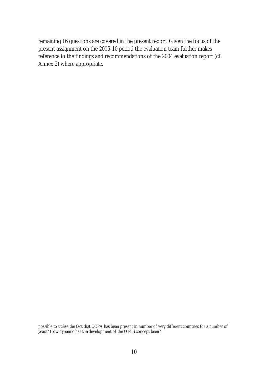remaining 16 questions are covered in the present report. Given the focus of the present assignment on the 2005-10 period the evaluation team further makes reference to the findings and recommendations of the 2004 evaluation report (cf. Annex 2) where appropriate.

possible to utilise the fact that CCPA has been present in number of very different countries for a number of years? How dynamic has the development of the OFFS concept been?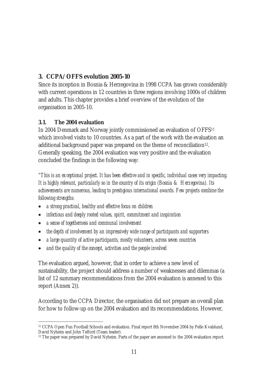# **3. CCPA/OFFS evolution 2005-10**

Since its inception in Bosnia & Herzegovina in 1998 CCPA has grown considerably with current operations in 12 countries in three regions involving 1000s of children and adults. This chapter provides a brief overview of the evolution of the organisation in 2005-10.

## **3.1. The 2004 evaluation**

In 2004 Denmark and Norway jointly commissioned an evaluation of OFFS11 which involved visits to 10 countries. As a part of the work with the evaluation an additional background paper was prepared on the theme of reconciliation<sup>12</sup>. Generally speaking, the 2004 evaluation was very positive and the evaluation concluded the findings in the following way:

*"This is an exceptional project. It has been effective and in specific, individual cases very impacting. It is highly relevant, particularly so in the country of its origin (Bosnia & Herzegovina). Its achievements are numerous, leading to prestigious international awards. Few projects combine the following strengths:* 

- x *a strong practical, healthy and effective focus on children*
- x *infectious and deeply rooted values, spirit, commitment and inspiration*
- x *a sense of togetherness and communal involvement*
- x *the depth of involvement by an impressively wide range of participants and supporters*
- x *a large quantity of active participants, mostly volunteers, across seven countries*
- x *and the quality of the concept, activities and the people involved*

The evaluation argued, however, that in order to achieve a new level of sustainability, the project should address a number of weaknesses and dilemmas (a list of 12 summary recommendations from the 2004 evaluation is annexed to this report (Annex 2)).

According to the CCPA Director, the organisation did not prepare an overall plan for how to follow-up on the 2004 evaluation and its recommendations. However,

 $\overline{a}$ 11 CCPA Open Fun Football Schools and evaluation. Final report 8th November 2004 by Pelle Kvalslund, David Nyheim and John Telford (Team leader).

<sup>&</sup>lt;sup>12</sup> The paper was prepared by David Nyheim. Parts of the paper are annexed to the 2004 evaluation report.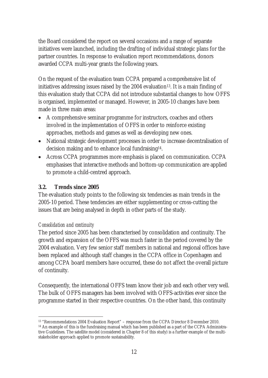the Board considered the report on several occasions and a range of separate initiatives were launched, including the drafting of individual strategic plans for the partner countries. In response to evaluation report recommendations, donors awarded CCPA multi-year grants the following years.

On the request of the evaluation team CCPA prepared a comprehensive list of initiatives addressing issues raised by the 2004 evaluation<sup>13</sup>. It is a main finding of this evaluation study that CCPA did not introduce substantial changes to how OFFS is organised, implemented or managed. However, in 2005-10 changes have been made in three main areas:

- A comprehensive seminar programme for instructors, coaches and others involved in the implementation of OFFS in order to reinforce existing approaches, methods and games as well as developing new ones.
- National strategic development processes in order to increase decentralisation of decision making and to enhance local fundraising14.
- Across CCPA programmes more emphasis is placed on communication. CCPA emphasises that interactive methods and bottom-up communication are applied to promote a child-centred approach.

## **3.2. Trends since 2005**

The evaluation study points to the following six tendencies as main trends in the 2005-10 period. These tendencies are either supplementing or cross-cutting the issues that are being analysed in depth in other parts of the study.

## *Consolidation and continuity*

The period since 2005 has been characterised by consolidation and continuity. The growth and expansion of the OFFS was much faster in the period covered by the 2004 evaluation. Very few senior staff members in national and regional offices have been replaced and although staff changes in the CCPA office in Copenhagen and among CCPA board members have occurred, these do not affect the overall picture of continuity.

Consequently, the international OFFS team know their job and each other very well. The bulk of OFFS managers has been involved with OFFS-activities ever since the programme started in their respective countries. On the other hand, this continuity

 $\overline{a}$ <sup>13</sup> "Recommendations 2004 Evaluation Report" – response from the CCPA Director 8 December 2010. <sup>14</sup> An example of this is the fundraising manual which has been published as a part of the CCPA Administrative Guidelines. The satellite model (considered in Chapter 8 of this study) is a further example of the multistakeholder approach applied to promote sustainability.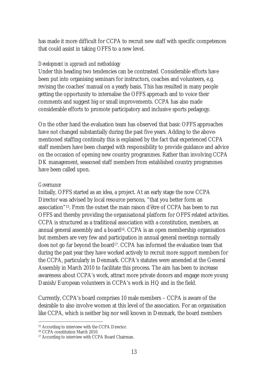has made it more difficult for CCPA to recruit new staff with specific competences that could assist in taking OFFS to a new level.

#### *Development in approach and methodology*

Under this heading two tendencies can be contrasted. Considerable efforts have been put into organising seminars for instructors, coaches and volunteers, e.g. revising the coaches' manual on a yearly basis. This has resulted in many people getting the opportunity to internalise the OFFS approach and to voice their comments and suggest big or small improvements. CCPA has also made considerable efforts to promote participatory and inclusive sports pedagogy.

On the other hand the evaluation team has observed that basic OFFS approaches have not changed substantially during the past five years. Adding to the abovementioned staffing continuity this is explained by the fact that experienced CCPA staff members have been charged with responsibility to provide guidance and advice on the occasion of opening new country programmes. Rather than involving CCPA DK management, seasoned staff members from established country programmes have been called upon.

#### *Governance*

Initially, OFFS started as an idea, a project. At an early stage the now CCPA Director was advised by local resource persons, "that you better form an association"15. From the outset the main raison d'être of CCPA has been to run OFFS and thereby providing the organisational platform for OFFS related activities. CCPA is structured as a traditional association with a constitution, members, an annual general assembly and a board<sup>16</sup>. CCPA is an open membership organisation but members are very few and participation in annual general meetings normally does not go far beyond the board<sup>17</sup>. CCPA has informed the evaluation team that during the past year they have worked actively to recruit more support members for the CCPA, particularly in Denmark. CCPA's statutes were amended at the General Assembly in March 2010 to facilitate this process. The aim has been to increase awareness about CCPA's work, attract more private donors and engage more young Danish/European volunteers in CCPA's work in HQ and in the field.

Currently, CCPA's board comprises 10 male members – CCPA is aware of the desirable to also involve women at this level of the association. For an organisation like CCPA, which is neither big nor well known in Denmark, the board members

 $\overline{a}$ 15 According to interview with the CCPA Director.

<sup>16</sup> CCPA constitution March 2010.

<sup>17</sup> According to interview with CCPA Board Chairman.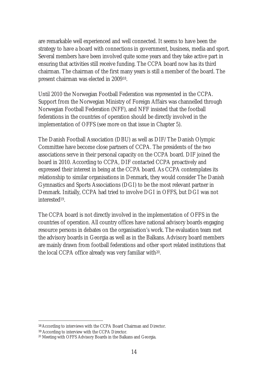are remarkable well experienced and well connected. It seems to have been the strategy to have a board with connections in government, business, media and sport. Several members have been involved quite some years and they take active part in ensuring that activities still receive funding. The CCPA board now has its third chairman. The chairman of the first many years is still a member of the board. The present chairman was elected in 200918.

Until 2010 the Norwegian Football Federation was represented in the CCPA. Support from the Norwegian Ministry of Foreign Affairs was channelled through Norwegian Football Federation (NFF), and NFF insisted that the football federations in the countries of operation should be directly involved in the implementation of OFFS (see more on that issue in Chapter 5).

The Danish Football Association (DBU) as well as DIF/The Danish Olympic Committee have become close partners of CCPA. The presidents of the two associations serve in their personal capacity on the CCPA board. DIF joined the board in 2010. According to CCPA, DIF contacted CCPA proactively and expressed their interest in being at the CCPA board. As CCPA contemplates its relationship to similar organisations in Denmark, they would consider The Danish Gymnastics and Sports Associations (DGI) to be the most relevant partner in Denmark. Initially, CCPA had tried to involve DGI in OFFS, but DGI was not interested19.

The CCPA board is not directly involved in the implementation of OFFS in the countries of operation. All country offices have national advisory boards engaging resource persons in debates on the organisation's work. The evaluation team met the advisory boards in Georgia as well as in the Balkans. Advisory board members are mainly drawn from football federations and other sport related institutions that the local CCPA office already was very familiar with20.

<sup>18</sup> According to interviews with the CCPA Board Chairman and Director.

<sup>19</sup> According to interview with the CCPA Director.

<sup>20</sup> Meeting with OFFS Advisory Boards in the Balkans and Georgia.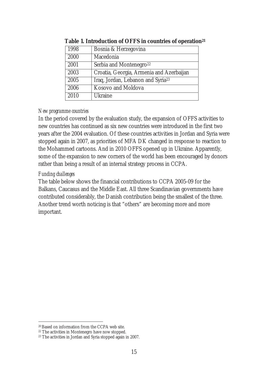| 1998 | Bosnia & Herzegovina                          |
|------|-----------------------------------------------|
| 2000 | Macedonia                                     |
| 2001 | Serbia and Montenegro <sup>22</sup>           |
| 2003 | Croatia, Georgia, Armenia and Azerbaijan      |
| 2005 | Iraq, Jordan, Lebanon and Syria <sup>23</sup> |
| 2006 | Kosovo and Moldova                            |
| 2010 | Ukraine                                       |

#### **Table 1. Introduction of OFFS in countries of operation21**

#### *New programme countries*

In the period covered by the evaluation study, the expansion of OFFS activities to new countries has continued as six new countries were introduced in the first two years after the 2004 evaluation. Of these countries activities in Jordan and Syria were stopped again in 2007, as priorities of MFA DK changed in response to reaction to the Mohammed cartoons. And in 2010 OFFS opened up in Ukraine. Apparently, some of the expansion to new corners of the world has been encouraged by donors rather than being a result of an internal strategy process in CCPA.

#### *Funding challenges*

The table below shows the financial contributions to CCPA 2005-09 for the Balkans, Caucasus and the Middle East. All three Scandinavian governments have contributed considerably, the Danish contribution being the smallest of the three. Another trend worth noticing is that "others" are becoming more and more important.

<sup>20</sup> Based on information from the CCPA web site.

<sup>22</sup> The activities in Montenegro have now stopped.

<sup>&</sup>lt;sup>23</sup> The activities in Jordan and Syria stopped again in 2007.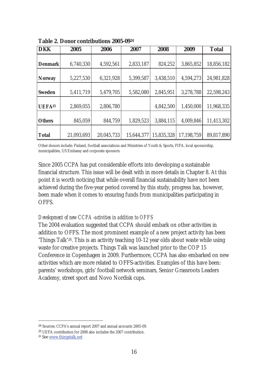| <b>DKK</b>         | 2005       | 2006       | 2007       | 2008       | 2009       | <b>Total</b> |
|--------------------|------------|------------|------------|------------|------------|--------------|
| Denmark            | 6,740,330  | 4,592,561  | 2,833,187  | 824,252    | 3,865,852  | 18,856,182   |
|                    |            |            |            |            |            |              |
| Norway             | 5,227,530  | 6,321,928  | 5,399,587  | 3,438,510  | 4,594,273  | 24,981,828   |
| Sweden             | 5,411,719  | 5,479,705  | 5,582,080  | 2,845,951  | 3,278,788  | 22,598,243   |
| UEFA <sup>25</sup> | 2,869,055  | 2,806,780  |            | 4,842,500  | 1,450,000  | 11,968,335   |
| <b>Others</b>      | 845,059    | 844,759    | 1,829,523  | 3,884,115  | 4,009,846  | 11,413,302   |
| Total              | 21,093,693 | 20,045,733 | 15,644,377 | 15,835,328 | 17,198,759 | 89,817,890   |

**Table 2. Donor contributions 2005-0924**

Other donors include: Finland, football associations and Ministries of Youth & Sports, FIFA, local sponsorship, municipalities, US Embassy and corporate sponsors.

Since 2005 CCPA has put considerable efforts into developing a sustainable financial structure. This issue will be dealt with in more details in Chapter 8. At this point it is worth noticing that while overall financial sustainability have not been achieved during the five-year period covered by this study, progress has, however, been made when it comes to ensuring funds from municipalities participating in OFFS.

#### *Development of new CCPA-activities in addition to OFFS*

The 2004 evaluation suggested that CCPA should embark on other activities in addition to OFFS. The most prominent example of a new project activity has been 'Things Talk'26. This is an activity teaching 10-12 year olds about waste while using waste for creative projects. Things Talk was launched prior to the COP 15 Conference in Copenhagen in 2009. Furthermore, CCPA has also embarked on new activities which are more related to OFFS-activities. Examples of this have been: parents' workshops, girls' football network seminars, Senior Grassroots Leaders Academy, street sport and Novo Nordisk cups.

<sup>24</sup> Sources: CCPA's annual report 2007 and annual accounts 2005-09.

<sup>25</sup> UEFA contribution for 2008 also includes the 2007 contribution.

<sup>26</sup> See www.thingstalk.net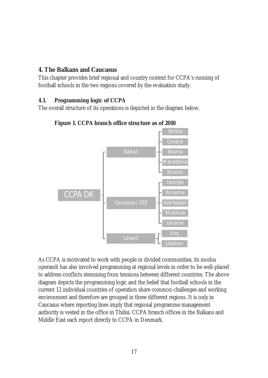## **4. The Balkans and Caucasus**

This chapter provides brief regional and country context for CCPA's running of football schools in the two regions covered by the evaluation study.

# **4.1. Programming logic of CCPA**

The overall structure of its operations is depicted in the diagram below.



# **Figure 1. CCPA branch office structure as of 2010**

As CCPA is motivated to work with people in divided communities, its modus operandi has also involved programming at regional levels in order to be well-placed to address conflicts stemming from tensions between different countries. The above diagram depicts the programming logic and the belief that football schools in the current 12 individual countries of operation share common challenges and working environment and therefore are grouped in three different regions. It is only in Caucasus where reporting lines imply that regional programme management authority is vested in the office in Tbilisi. CCPA branch offices in the Balkans and Middle East each report directly to CCPA in Denmark.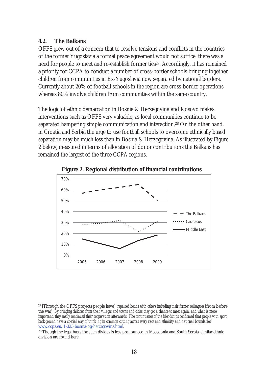#### **4.2. The Balkans**

OFFS grew out of a concern that to resolve tensions and conflicts in the countries of the former Yugoslavia a formal peace agreement would not suffice: there was a need for people to meet and re-establish former ties<sup>27</sup>. Accordingly, it has remained a priority for CCPA to conduct a number of cross-border schools bringing together children from communities in Ex-Yugoslavia now separated by national borders. Currently about 20% of football schools in the region are cross-border operations whereas 80% involve children from communities within the same country.

The logic of ethnic demarcation in Bosnia & Herzegovina and Kosovo makes interventions such as OFFS very valuable, as local communities continue to be separated hampering simple communication and interaction.28 On the other hand, in Croatia and Serbia the urge to use football schools to overcome ethnically based separation may be much less than in Bosnia & Herzegovina. As illustrated by Figure 2 below, measured in terms of allocation of donor contributions the Balkans has remained the largest of the three CCPA regions.



**Figure 2. Regional distribution of financial contributions** 

 $\overline{a}$ 27 [Through the OFFS projects people have] *'repaired bonds with others including their former colleagues* [from before the war]. *By bringing children from their villages and towns and cities they got a chance to meet again, and what is more important, they easily continued their cooperation afterwards. The continuance of the friendships confirmed that people with sport background have a special way of thinking in common cutting across every race and ethnicity and national boundaries'* www.ccpa.eu/1-323-bosnia-og-herzegovina.html*.* 

<sup>&</sup>lt;sup>28</sup> Though the legal basis for such divides is less pronounced in Macedonia and South Serbia, similar ethnic division are found here.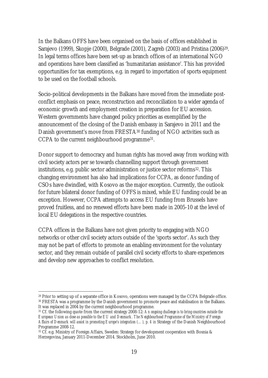In the Balkans OFFS have been organised on the basis of offices established in Sarajevo (1999), Skopje (2000), Belgrade (2001), Zagreb (2003) and Pristina (2006)29. In legal terms offices have been set-up as branch offices of an international NGO and operations have been classified as 'humanitarian assistance'. This has provided opportunities for tax exemptions, e.g. in regard to importation of sports equipment to be used on the football schools.

Socio-political developments in the Balkans have moved from the immediate postconflict emphasis on peace, reconstruction and reconciliation to a wider agenda of economic growth and employment creation in preparation for EU accession. Western governments have changed policy priorities as exemplified by the announcement of the closing of the Danish embassy in Sarajevo in 2011 and the Danish government's move from FRESTA<sup>30</sup> funding of NGO activities such as CCPA to the current neighbourhood programme31.

Donor support to democracy and human rights has moved away from working with civil society actors per se towards channelling support through government institutions, e.g. public sector administration or justice sector reforms<sup>32</sup>. This changing environment has also had implications for CCPA, as donor funding of CSOs have dwindled, with Kosovo as the major exception. Currently, the outlook for future bilateral donor funding of OFFS is mixed, while EU funding could be an exception. However, CCPA attempts to access EU funding from Brussels have proved fruitless, and no renewed efforts have been made in 2005-10 at the level of local EU delegations in the respective countries.

CCPA offices in the Balkans have not given priority to engaging with NGO networks or other civil society actors outside of the 'sports sector'. As such they may not be part of efforts to promote an enabling environment for the voluntary sector, and they remain outside of parallel civil society efforts to share experiences and develop new approaches to conflict resolution.

<sup>&</sup>lt;sup>29</sup> Prior to setting up of a separate office in Kosovo, operations were managed by the CCPA Belgrade office. 30 FRESTA was a programme by the Danish government to promote peace and stabilisation in the Balkans. It was replaced in 2004 by the current neighbourhood programme.

<sup>31</sup> Cf. the following quote from the current strategy 2008-12: *An ongoing challenge is to bring countries outside the European Union as close as possible to the EU and Denmark. The Neighbourhood Programme of the Ministry of Foreign*  Affairs of Denmark will assist in promoting Europe's integration (...), p. 4 in Strategy of the Danish Neighbourhood Programme 2008-12.

<sup>32</sup> Cf. e.g. Ministry of Foreign Affairs, Sweden: Strategy for development cooperation with Bosnia & Herzegovina, January 2011-December 2014. Stockholm, June 2010.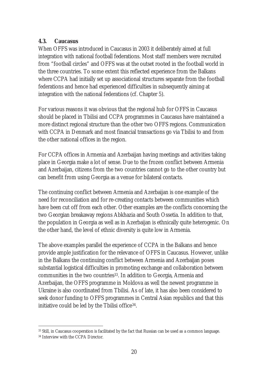#### **4.3. Caucasus**

When OFFS was introduced in Caucasus in 2003 it deliberately aimed at full integration with national football federations. Most staff members were recruited from "football circles" and OFFS was at the outset rooted in the football world in the three countries. To some extent this reflected experience from the Balkans where CCPA had initially set up associational structures separate from the football federations and hence had experienced difficulties in subsequently aiming at integration with the national federations (cf. Chapter 5).

For various reasons it was obvious that the regional hub for OFFS in Caucasus should be placed in Tbilisi and CCPA programmes in Caucasus have maintained a more distinct regional structure than the other two OFFS regions. Communication with CCPA in Denmark and most financial transactions go via Tbilisi to and from the other national offices in the region.

For CCPA offices in Armenia and Azerbaijan having meetings and activities taking place in Georgia make a lot of sense. Due to the frozen conflict between Armenia and Azerbaijan, citizens from the two countries cannot go to the other country but can benefit from using Georgia as a venue for bilateral contacts.

The continuing conflict between Armenia and Azerbaijan is one example of the need for reconciliation and for re-creating contacts between communities which have been cut off from each other. Other examples are the conflicts concerning the two Georgian breakaway regions Abkhazia and South Ossetia. In addition to that, the population in Georgia as well as in Azerbaijan is ethnically quite heterogenic. On the other hand, the level of ethnic diversity is quite low in Armenia.

The above examples parallel the experience of CCPA in the Balkans and hence provide ample justification for the relevance of OFFS in Caucasus. However, unlike in the Balkans the continuing conflict between Armenia and Azerbaijan poses substantial logistical difficulties in promoting exchange and collaboration between communities in the two countries33. In addition to Georgia, Armenia and Azerbaijan, the OFFS programme in Moldova as well the newest programme in Ukraine is also coordinated from Tbilisi. As of late, it has also been considered to seek donor funding to OFFS programmes in Central Asian republics and that this initiative could be led by the Tbilisi office34.

 $\overline{a}$ 33 Still, in Caucasus cooperation is facilitated by the fact that Russian can be used as a common language.

<sup>34</sup> Interview with the CCPA Director.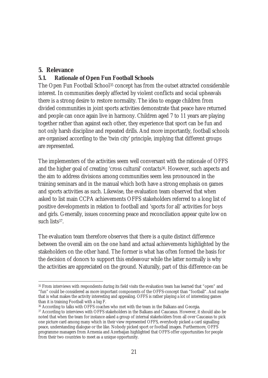## **5. Relevance**

## **5.1. Rationale of Open Fun Football Schools**

The Open Fun Football School<sup>35</sup> concept has from the outset attracted considerable interest. In communities deeply affected by violent conflicts and social upheavals there is a strong desire to restore normality. The idea to engage children from divided communities in joint sports activities demonstrate that peace have returned and people can once again live in harmony. Children aged 7 to 11 years are playing together rather than against each other, they experience that sport can be fun and not only harsh discipline and repeated drills. And more importantly, football schools are organised according to the 'twin city' principle, implying that different groups are represented.

The implementers of the activities seem well conversant with the rationale of OFFS and the higher goal of creating 'cross cultural' contacts<sup>36</sup>. However, such aspects and the aim to address divisions among communities seem less pronounced in the training seminars and in the manual which both have a strong emphasis on games and sports activities as such. Likewise, the evaluation team observed that when asked to list main CCPA achievements OFFS stakeholders referred to a long list of positive developments in relation to football and 'sports for all' activities for boys and girls. Generally, issues concerning peace and reconciliation appear quite low on such lists37.

The evaluation team therefore observes that there is a quite distinct difference between the overall aim on the one hand and actual achievements highlighted by the stakeholders on the other hand. The former is what has often formed the basis for the decision of donors to support this endeavour while the latter normally is why the activities are appreciated on the ground. Naturally, part of this difference can be

 $\overline{a}$ 35 From interviews with respondents during its field visits the evaluation team has learned that "open" and "fun" could be considered as more important components of the OFFS-concept than "football". And maybe that is what makes the activity interesting and appealing. OFFS is rather playing a lot of interesting games than it is training Football with a big F.

<sup>36</sup> According to talks with OFFS coaches who met with the team in the Balkans and Georgia.

<sup>&</sup>lt;sup>37</sup> According to interviews with OFFS stakeholders in the Balkans and Caucasus. However, it should also be noted that when the team for instance asked a group of internal stakeholders from all over Caucasus to pick one picture card among many which in their view represented OFFS, everybody picked a card signalling peace, understanding dialogue or the like. Nobody picked sport or football images. Furthermore, OFFS programme managers from Armenia and Azerbaijan highlighted that OFFS offer opportunities for people from their two countries to meet as a unique opportunity.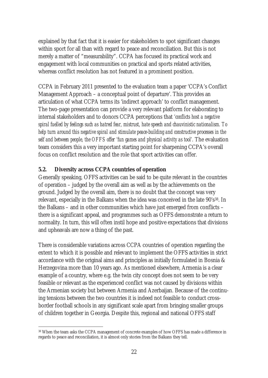explained by that fact that it is easier for stakeholders to spot significant changes within sport for all than with regard to peace and reconciliation. But this is not merely a matter of "measurability". CCPA has focused its practical work and engagement with local communities on practical and sports related activities, whereas conflict resolution has not featured in a prominent position.

CCPA in February 2011 presented to the evaluation team a paper 'CCPA's Conflict Management Approach – a conceptual point of departure'. This provides an articulation of what CCPA terms its 'indirect approach' to conflict management. The two-page presentation can provide a very relevant platform for elaborating to internal stakeholders and to donors CCPA perceptions that *'conflicts host a negative spiral fuelled by feelings such as hatred fear, mistrust, hate speech and chauvinistic nationalism. To help turn around this negative spiral and stimulate peace-building and constructive processes in the*  self and between people, the OFFS offer 'fun games and physical activity as tool'. The evaluation team considers this a very important starting point for sharpening CCPA's overall focus on conflict resolution and the role that sport activities can offer.

## **5.2. Diversity across CCPA countries of operation**

Generally speaking, OFFS activities can be said to be quite relevant in the countries of operation – judged by the overall aim as well as by the achievements on the ground. Judged by the overall aim, there is no doubt that the concept was very relevant, especially in the Balkans when the idea was conceived in the late 90's<sup>38</sup>. In the Balkans – and in other communities which have just emerged from conflicts – there is a significant appeal, and programmes such as OFFS demonstrate a return to normality. In turn, this will often instil hope and positive expectations that divisions and upheavals are now a thing of the past.

There is considerable variations across CCPA countries of operation regarding the extent to which it is possible and relevant to implement the OFFS activities in strict accordance with the original aims and principles as initially formulated in Bosnia & Herzegovina more than 10 years ago. As mentioned elsewhere, Armenia is a clear example of a country, where e.g. the twin city concept does not seem to be very feasible or relevant as the experienced conflict was not caused by divisions within the Armenian society but between Armenia and Azerbaijan. Because of the continuing tensions between the two countries it is indeed not feasible to conduct crossborder football schools in any significant scale apart from bringing smaller groups of children together in Georgia. Despite this, regional and national OFFS staff

 $\overline{a}$ 38 When the team asks the CCPA management of concrete examples of how OFFS has made a difference in regards to peace and reconciliation, it is almost only stories from the Balkans they tell.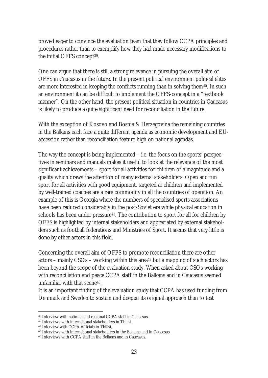proved eager to convince the evaluation team that they follow CCPA principles and procedures rather than to exemplify how they had made necessary modifications to the initial OFFS concept39.

One can argue that there is still a strong relevance in pursuing the overall aim of OFFS in Caucasus in the future. In the present political environment political elites are more interested in keeping the conflicts running than in solving them<sup>40</sup>. In such an environment it can be difficult to implement the OFFS-concept in a "textbook manner". On the other hand, the present political situation in countries in Caucasus is likely to produce a quite significant need for reconciliation in the future.

With the exception of Kosovo and Bosnia & Herzegovina the remaining countries in the Balkans each face a quite different agenda as economic development and EUaccession rather than reconciliation feature high on national agendas.

The way the concept is being implemented – i.e. the focus on the sports' perspectives in seminars and manuals makes it useful to look at the relevance of the most significant achievements – sport for all activities for children of a magnitude and a quality which draws the attention of many external stakeholders. Open and fun sport for all activities with good equipment, targeted at children and implemented by well-trained coaches are a rare commodity in all the countries of operation. An example of this is Georgia where the numbers of specialised sports associations have been reduced considerably in the post-Soviet era while physical education in schools has been under pressure<sup>41</sup>. The contribution to sport for all for children by OFFS is highlighted by internal stakeholders and appreciated by external stakeholders such as football federations and Ministries of Sport. It seems that very little is done by other actors in this field.

Concerning the overall aim of OFFS to promote reconciliation there are other actors – mainly CSOs – working within this area42 but a mapping of such actors has been beyond the scope of the evaluation study. When asked about CSOs working with reconciliation and peace CCPA staff in the Balkans and in Caucasus seemed unfamiliar with that scene43.

It is an important finding of the evaluation study that CCPA has used funding from Denmark and Sweden to sustain and deepen its original approach than to test

<sup>39</sup> Interview with national and regional CCPA staff in Caucasus.

<sup>40</sup> Interviews with international stakeholders in Tbilisi.

<sup>41</sup> Interview with CCPA officials in Tbilisi.

<sup>42</sup> Interviews with international stakeholders in the Balkans and in Caucasus.

<sup>43</sup> Interviews with CCPA staff in the Balkans and in Caucasus.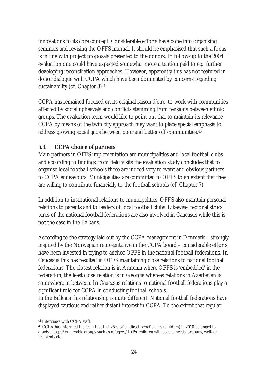innovations to its core concept. Considerable efforts have gone into organising seminars and revising the OFFS manual. It should be emphasised that such a focus is in line with project proposals presented to the donors. In follow-up to the 2004 evaluation one could have expected somewhat more attention paid to e.g. further developing reconciliation approaches. However, apparently this has not featured in donor dialogue with CCPA which have been dominated by concerns regarding sustainability (cf. Chapter 8)<sup>44</sup>.

CCPA has remained focused on its original raison d'etre: to work with communities affected by social upheavals and conflicts stemming from tensions between ethnic groups. The evaluation team would like to point out that to maintain its relevance CCPA by means of the twin city approach may want to place special emphasis to address growing social gaps between poor and better off communities.45

## **5.3. CCPA choice of partners**

Main partners in OFFS implementation are municipalities and local football clubs and according to findings from field visits the evaluation study concludes that to organise local football schools these are indeed very relevant and obvious partners to CCPA endeavours. Municipalities are committed to OFFS to an extent that they are willing to contribute financially to the football schools (cf. Chapter 7).

In addition to institutional relations to municipalities, OFFS also maintain personal relations to parents and to leaders of local football clubs. Likewise, regional structures of the national football federations are also involved in Caucasus while this is not the case in the Balkans.

According to the strategy laid out by the CCPA management in Denmark – strongly inspired by the Norwegian representative in the CCPA board – considerable efforts have been invested in trying to anchor OFFS in the national football federations. In Caucasus this has resulted in OFFS maintaining close relations to national football federations. The closest relation is in Armenia where OFFS is 'embedded' in the federation, the least close relation is in Georgia whereas relations in Azerbaijan is somewhere in between. In Caucasus relations to national football federations play a significant role for CCPA in conducting football schools.

In the Balkans this relationship is quite different. National football federations have displayed cautious and rather distant interest in CCPA. To the extent that regular

 $\overline{a}$ 44 Interviews with CCPA staff.

<sup>45</sup> CCPA has informed the team that that 25% of all direct beneficiaries (children) in 2010 belonged to disadvantaged/vulnerable groups such as refugees/IDPs, children with special needs, orphans, welfare recipients etc.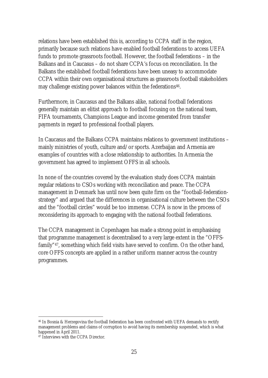relations have been established this is, according to CCPA staff in the region, primarily because such relations have enabled football federations to access UEFA funds to promote grassroots football. However, the football federations – in the Balkans and in Caucasus – do not share CCPA's focus on reconciliation. In the Balkans the established football federations have been uneasy to accommodate CCPA within their own organisational structures as grassroots football stakeholders may challenge existing power balances within the federations<sup>46</sup>.

Furthermore, in Caucasus and the Balkans alike, national football federations generally maintain an elitist approach to football focusing on the national team, FIFA tournaments, Champions League and income generated from transfer payments in regard to professional football players.

In Caucasus and the Balkans CCPA maintains relations to government institutions – mainly ministries of youth, culture and/or sports. Azerbaijan and Armenia are examples of countries with a close relationship to authorities. In Armenia the government has agreed to implement OFFS in all schools.

In none of the countries covered by the evaluation study does CCPA maintain regular relations to CSOs working with reconciliation and peace. The CCPA management in Denmark has until now been quite firm on the "football-federationstrategy" and argued that the differences in organisational culture between the CSOs and the "football circles" would be too immense. CCPA is now in the process of reconsidering its approach to engaging with the national football federations.

The CCPA management in Copenhagen has made a strong point in emphasising that programme management is decentralised to a very large extent in the "OFFSfamily"47, something which field visits have served to confirm. On the other hand, core OFFS concepts are applied in a rather uniform manner across the country programmes.

 $\overline{a}$ 46 In Bosnia & Herzegovina the football federation has been confronted with UEFA demands to rectify management problems and claims of corruption to avoid having its membership suspended, which is what happened in April 2011.

<sup>47</sup> Interviews with the CCPA Director.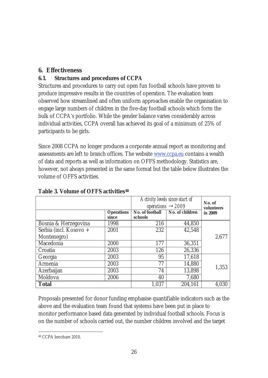# **6. Effectiveness**

# **6.1. Structures and procedures of CCPA**

Structures and procedures to carry out open fun football schools have proven to produce impressive results in the countries of operation. The evaluation team observed how streamlined and often uniform approaches enable the organisation to engage large numbers of children in the five-day football schools which form the bulk of CCPA's portfolio. While the gender balance varies considerably across individual activities, CCPA overall has achieved its goal of a minimum of 25% of participants to be girls.

Since 2008 CCPA no longer produces a corporate annual report as monitoring and assessments are left to branch offices. The website www.ccpa.eu contains a wealth of data and reports as well as information on OFFS methodology. Statistics are, however, not always presented in the same format but the table below illustrates the volume of OFFS activities.

|                        |            | Activity levels since start of<br>operations $\rightarrow$ 2009 | No. of<br>volunteers |         |
|------------------------|------------|-----------------------------------------------------------------|----------------------|---------|
|                        | Operations | No. of football                                                 | No. of children      | in 2009 |
|                        | since      | schools                                                         |                      |         |
| Bosnia & Herzegovina   | 1998       | 216                                                             | 44,850               |         |
| Serbia (incl. Kosovo + | 2001       | 232                                                             | 42,548               |         |
| Montenegro)            |            |                                                                 |                      | 2,677   |
| Macedonia              | 2000       | 177                                                             | 36,351               |         |
| Croatia                | 2003       | 126                                                             | 26,336               |         |
| Georgia                | 2003       | 95                                                              | 17,618               |         |
| Armenia                | 2003       | 77                                                              | 14,880               | 1,353   |
| Azerbaijan             | 2003       | 74                                                              | 13,898               |         |
| Moldova                | 2006       | 40                                                              | 7,680                |         |
| <b>Total</b>           |            | 1,037                                                           | 204,161              | 4,030   |

## **Table 3. Volume of OFFS activities48**

Proposals presented for donor funding emphasise quantifiable indicators such as the above and the evaluation team found that systems have been put in place to monitor performance based data generated by individual football schools. Focus is on the number of schools carried out, the number children involved and the target

 $\overline{a}$ 48 CCPA brochure 2010.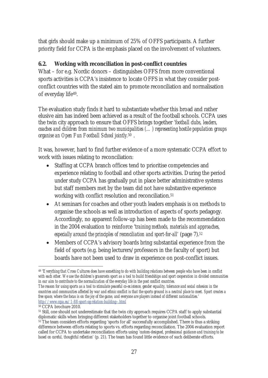that girls should make up a minimum of 25% of OFFS participants. A further priority field for CCPA is the emphasis placed on the involvement of volunteers.

## **6.2. Working with reconciliation in post-conflict countries**

What – for e.g. Nordic donors – distinguishes OFFS from more conventional sports activities is CCPA's insistence to locate OFFS in what they consider postconflict countries with the stated aim to promote reconciliation and normalisation of everyday life49.

The evaluation study finds it hard to substantiate whether this broad and rather elusive aim has indeed been achieved as a result of the football schools. CCPA uses the twin city approach to ensure that OFFS brings together *'football clubs, leaders, coaches and children from minimum two municipalities (…) representing hostile population groups organise an Open Fun Football School jointly.*50 .

It was, however, hard to find further evidence of a more systematic CCPA effort to work with issues relating to reconciliation:

- Staffing at CCPA branch offices tend to prioritise competencies and experience relating to football and other sports activities. During the period under study CCPA has gradually put in place better administrative systems but staff members met by the team did not have substantive experience working with conflict resolution and reconciliation.51
- At seminars for coaches and other youth leaders emphasis is on methods to organise the schools as well as introduction of aspects of sports pedagogy. Accordingly, no apparent follow-up has been made to the recommendation in the 2004 evaluation to reinforce '*training methods, materials and approaches, especially around the principles of reconciliation and sport-for-all'* (page 7).*<sup>52</sup>*
- Members of CCPA's advisory boards bring substantial experience from the field of sports (e.g. being lecturers/professors in the faculty of sport) but boards have not been used to draw in experience on post-conflict issues.

 $\overline{a}$ <sup>49</sup> '*Everything that Cross Cultures does have something to do with building relations between people who have been in conflict with each other. We use the children's grassroots sport as a tool to build friendships and sport cooperation in divided communities in our aim to contribute to the normalization of the everyday life in the post conflict countries.* 

*The reason for using sports as a tool to stimulate peaceful co-existence, gender equality, tolerance and social cohesion in the countries and communities affected by war and ethnic conflict is that the sports ground is a neutral place to meet. Sport creates a free space, where the focus is on the joy of the game, and everyone are players instead of different nationalities.' http://www.ccpa.eu/1-88-sport-og-relation-building--.html*

<sup>50</sup> CCPA brochure 2010.

<sup>51</sup> Still, one should not underestimate that the twin city approach requires CCPA staff to apply substantial diplomatic skills when bringing different stakeholders together to organise joint football schools.

<sup>&</sup>lt;sup>52</sup> The team considers efforts regarding 'sports for all' successfully accomplished. There is thus a striking difference between efforts relating to sports vs. efforts regarding reconciliation. The 2004 evaluation report called for CCPA to undertake reconciliation efforts using *'custom-designed, professional guidance and training to be based on careful, thoughtful reflection'* (p. 21). The team has found little evidence of such deliberate efforts.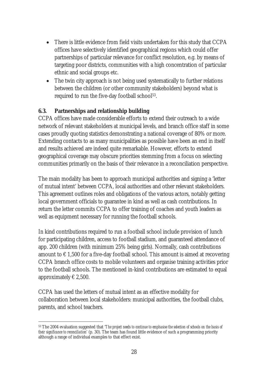- There is little evidence from field visits undertaken for this study that CCPA offices have selectively identified geographical regions which could offer partnerships of particular relevance for conflict resolution, e.g. by means of targeting poor districts, communities with a high concentration of particular ethnic and social groups etc.
- The twin city approach is not being used systematically to further relations between the children (or other community stakeholders) beyond what is required to run the five-day football school<sup>53</sup>.

## **6.3. Partnerships and relationship building**

CCPA offices have made considerable efforts to extend their outreach to a wide network of relevant stakeholders at municipal levels, and branch office staff in some cases proudly quoting statistics demonstrating a national coverage of 80% or more. Extending contacts to as many municipalities as possible have been an end in itself and results achieved are indeed quite remarkable. However, efforts to extend geographical coverage may obscure priorities stemming from a focus on selecting communities primarily on the basis of their relevance in a reconciliation perspective.

The main modality has been to approach municipal authorities and signing a 'letter of mutual intent' between CCPA, local authorities and other relevant stakeholders. This agreement outlines roles and obligations of the various actors, notably getting local government officials to guarantee in kind as well as cash contributions. In return the letter commits CCPA to offer training of coaches and youth leaders as well as equipment necessary for running the football schools.

In kind contributions required to run a football school include provision of lunch for participating children, access to football stadium, and guaranteed attendance of app. 200 children (with minimum 25% being girls). Normally, cash contributions amount to  $\epsilon$  1,500 for a five-day football school. This amount is aimed at recovering CCPA branch office costs to mobile volunteers and organise training activities prior to the football schools. The mentioned in-kind contributions are estimated to equal approximately  $\in$  2,500.

CCPA has used the letters of mutual intent as an effective modality for collaboration between local stakeholders: municipal authorities, the football clubs, parents, and school teachers.

 $\overline{a}$ <sup>53</sup> The 2004 evaluation suggested that '*The project needs to continue to emphasise the selection of schools on the basis of their significance to reconciliation'* (p. 30). The team has found little evidence of such a programming priority although a range of individual examples to that effect exist.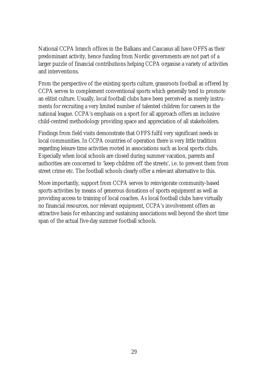National CCPA branch offices in the Balkans and Caucasus all have OFFS as their predominant activity, hence funding from Nordic governments are not part of a larger puzzle of financial contributions helping CCPA organise a variety of activities and interventions.

From the perspective of the existing sports culture, grassroots football as offered by CCPA serves to complement conventional sports which generally tend to promote an elitist culture. Usually, local football clubs have been perceived as merely instruments for recruiting a very limited number of talented children for careers in the national league. CCPA's emphasis on a sport for all approach offers an inclusive child-centred methodology providing space and appreciation of all stakeholders.

Findings from field visits demonstrate that OFFS fulfil very significant needs in local communities. In CCPA countries of operation there is very little tradition regarding leisure time activities rooted in associations such as local sports clubs. Especially when local schools are closed during summer vacation, parents and authorities are concerned to 'keep children off the streets', i.e. to prevent them from street crime etc. The football schools clearly offer a relevant alternative to this.

More importantly, support from CCPA serves to reinvigorate community-based sports activities by means of generous donations of sports equipment as well as providing access to training of local coaches. As local football clubs have virtually no financial resources, nor relevant equipment, CCPA's involvement offers an attractive basis for enhancing and sustaining associations well beyond the short time span of the actual five-day summer football schools.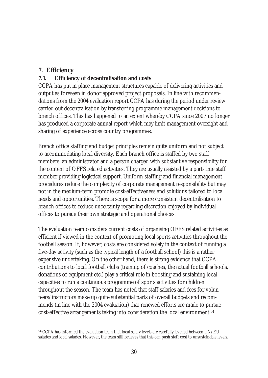## **7. Efficiency**

 $\overline{a}$ 

#### **7.1. Efficiency of decentralisation and costs**

CCPA has put in place management structures capable of delivering activities and output as foreseen in donor approved project proposals. In line with recommendations from the 2004 evaluation report CCPA has during the period under review carried out decentralisation by transferring programme management decisions to branch offices. This has happened to an extent whereby CCPA since 2007 no longer has produced a corporate annual report which may limit management oversight and sharing of experience across country programmes.

Branch office staffing and budget principles remain quite uniform and not subject to accommodating local diversity. Each branch office is staffed by two staff members: an administrator and a person charged with substantive responsibility for the content of OFFS related activities. They are usually assisted by a part-time staff member providing logistical support. Uniform staffing and financial management procedures reduce the complexity of corporate management responsibility but may not in the medium-term promote cost-effectiveness and solutions tailored to local needs and opportunities. There is scope for a more consistent decentralisation to branch offices to reduce uncertainty regarding discretion enjoyed by individual offices to pursue their own strategic and operational choices.

The evaluation team considers current costs of organising OFFS related activities as efficient if viewed in the context of promoting local sports activities throughout the football season. If, however, costs are considered solely in the context of running a five-day activity (such as the typical length of a football school) this is a rather expensive undertaking. On the other hand, there is strong evidence that CCPA contributions to local football clubs (training of coaches, the actual football schools, donations of equipment etc.) play a critical role in boosting and sustaining local capacities to run a continuous programme of sports activities for children throughout the season. The team has noted that staff salaries and fees for volunteers/instructors make up quite substantial parts of overall budgets and recommends (in line with the 2004 evaluation) that renewed efforts are made to pursue cost-effective arrangements taking into consideration the local environment.54

<sup>54</sup> CCPA has informed the evaluation team that local salary levels are carefully levelled between UN/EU salaries and local salaries. However, the team still believes that this can push staff cost to unsustainable levels.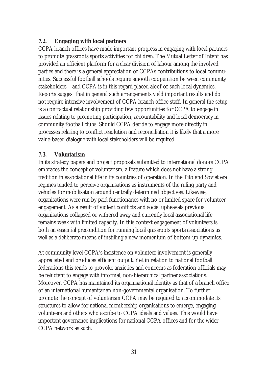## **7.2. Engaging with local partners**

CCPA branch offices have made important progress in engaging with local partners to promote grassroots sports activities for children. The Mutual Letter of Intent has provided an efficient platform for a clear division of labour among the involved parties and there is a general appreciation of CCPAs contributions to local communities. Successful football schools require smooth cooperation between community stakeholders – and CCPA is in this regard placed aloof of such local dynamics. Reports suggest that in general such arrangements yield important results and do not require intensive involvement of CCPA branch office staff. In general the setup is a contractual relationship providing few opportunities for CCPA to engage in issues relating to promoting participation, accountability and local democracy in community football clubs. Should CCPA decide to engage more directly in processes relating to conflict resolution and reconciliation it is likely that a more value-based dialogue with local stakeholders will be required.

#### **7.3. Voluntarism**

In its strategy papers and project proposals submitted to international donors CCPA embraces the concept of voluntarism, a feature which does not have a strong tradition in associational life in its countries of operation. In the Tito and Soviet era regimes tended to perceive organisations as instruments of the ruling party and vehicles for mobilisation around centrally determined objectives. Likewise, organisations were run by paid functionaries with no or limited space for volunteer engagement. As a result of violent conflicts and social upheavals previous organisations collapsed or withered away and currently local associational life remains weak with limited capacity. In this context engagement of volunteers is both an essential precondition for running local grassroots sports associations as well as a deliberate means of instilling a new momentum of bottom-up dynamics.

At community level CCPA's insistence on volunteer involvement is generally appreciated and produces efficient output. Yet in relation to national football federations this tends to provoke anxieties and concerns as federation officials may be reluctant to engage with informal, non-hierarchical partner associations. Moreover, CCPA has maintained its organisational identity as that of a branch office of an international humanitarian non-governmental organisation. To further promote the concept of voluntarism CCPA may be required to accommodate its structures to allow for national membership organisations to emerge, engaging volunteers and others who ascribe to CCPA ideals and values. This would have important governance implications for national CCPA offices and for the wider CCPA network as such.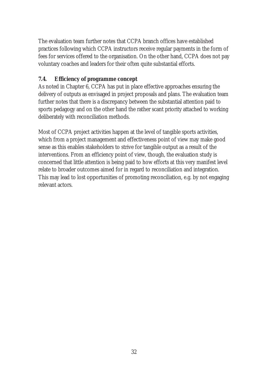The evaluation team further notes that CCPA branch offices have established practices following which CCPA instructors receive regular payments in the form of fees for services offered to the organisation. On the other hand, CCPA does not pay voluntary coaches and leaders for their often quite substantial efforts.

# **7.4. Efficiency of programme concept**

As noted in Chapter 6, CCPA has put in place effective approaches ensuring the delivery of outputs as envisaged in project proposals and plans. The evaluation team further notes that there is a discrepancy between the substantial attention paid to sports pedagogy and on the other hand the rather scant priority attached to working deliberately with reconciliation methods.

Most of CCPA project activities happen at the level of tangible sports activities, which from a project management and effectiveness point of view may make good sense as this enables stakeholders to strive for tangible output as a result of the interventions. From an efficiency point of view, though, the evaluation study is concerned that little attention is being paid to how efforts at this very manifest level relate to broader outcomes aimed for in regard to reconciliation and integration. This may lead to lost opportunities of promoting reconciliation, e.g. by not engaging relevant actors.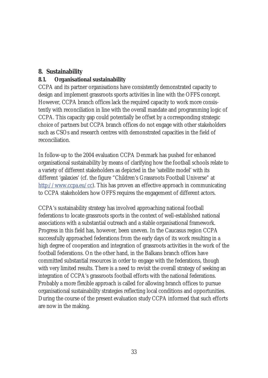## **8. Sustainability**

## **8.1. Organisational sustainability**

CCPA and its partner organisations have consistently demonstrated capacity to design and implement grassroots sports activities in line with the OFFS concept. However, CCPA branch offices lack the required capacity to work more consistently with reconciliation in line with the overall mandate and programming logic of CCPA. This capacity gap could potentially be offset by a corresponding strategic choice of partners but CCPA branch offices do not engage with other stakeholders such as CSOs and research centres with demonstrated capacities in the field of reconciliation.

In follow-up to the 2004 evaluation CCPA Denmark has pushed for enhanced organisational sustainability by means of clarifying how the football schools relate to a variety of different stakeholders as depicted in the 'satellite model' with its different 'galaxies' (cf. the figure "Children's Grassroots Football Universe" at http://www.ccpa.eu/cc). This has proven an effective approach in communicating to CCPA stakeholders how OFFS requires the engagement of different actors.

CCPA's sustainability strategy has involved approaching national football federations to locate grassroots sports in the context of well-established national associations with a substantial outreach and a stable organisational framework. Progress in this field has, however, been uneven. In the Caucasus region CCPA successfully approached federations from the early days of its work resulting in a high degree of cooperation and integration of grassroots activities in the work of the football federations. On the other hand, in the Balkans branch offices have committed substantial resources in order to engage with the federations, though with very limited results. There is a need to revisit the overall strategy of seeking an integration of CCPA's grassroots football efforts with the national federations. Probably a more flexible approach is called for allowing branch offices to pursue organisational sustainability strategies reflecting local conditions and opportunities. During the course of the present evaluation study CCPA informed that such efforts are now in the making.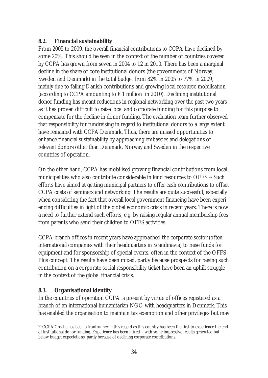## **8.2. Financial sustainability**

From 2005 to 2009, the overall financial contributions to CCPA have declined by some 20%. This should be seen in the context of the number of countries covered by CCPA has grown from seven in 2004 to 12 in 2010. There has been a marginal decline in the share of core institutional donors (the governments of Norway, Sweden and Denmark) in the total budget from 82% in 2005 to 77% in 2009, mainly due to falling Danish contributions and growing local resource mobilisation (according to CCPA amounting to  $\epsilon$  1 million in 2010). Declining institutional donor funding has meant reductions in regional networking over the past two years as it has proven difficult to raise local and corporate funding for this purpose to compensate for the decline in donor funding. The evaluation team further observed that responsibility for fundraising in regard to institutional donors to a large extent have remained with CCPA Denmark. Thus, there are missed opportunities to enhance financial sustainability by approaching embassies and delegations of relevant donors other than Denmark, Norway and Sweden in the respective countries of operation.

On the other hand, CCPA has mobilised growing financial contributions from local municipalities who also contribute considerable in kind resources to OFFS.55 Such efforts have aimed at getting municipal partners to offer cash contributions to offset CCPA costs of seminars and networking. The results are quite successful, especially when considering the fact that overall local government financing have been experiencing difficulties in light of the global economic crisis in recent years. There is now a need to further extend such efforts, e.g. by raising regular annual membership fees from parents who send their children to OFFS activities.

CCPA branch offices in recent years have approached the corporate sector (often international companies with their headquarters in Scandinavia) to raise funds for equipment and for sponsorship of special events, often in the context of the OFFS Plus concept. The results have been mixed, partly because prospects for raising such contribution on a corporate social responsibility ticket have been an uphill struggle in the context of the global financial crisis.

## **8.3. Organisational identity**

 $\overline{a}$ 

In the countries of operation CCPA is present by virtue of offices registered as a branch of an international humanitarian NGO with headquarters in Denmark. This has enabled the organisation to maintain tax exemption and other privileges but may

<sup>55</sup> CCPA Croatia has been a frontrunner in this regard as this country has been the first to experience the end of institutional donor funding. Experience has been mixed – with some impressive results generated but below budget expectations, partly because of declining corporate contributions.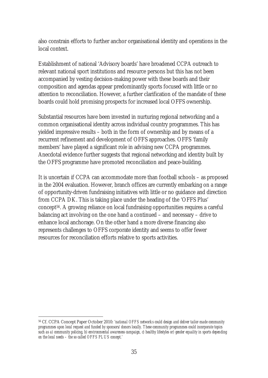also constrain efforts to further anchor organisational identity and operations in the local context.

Establishment of national 'Advisory boards' have broadened CCPA outreach to relevant national sport institutions and resource persons but this has not been accompanied by vesting decision-making power with these boards and their composition and agendas appear predominantly sports focused with little or no attention to reconciliation. However, a further clarification of the mandate of these boards could hold promising prospects for increased local OFFS ownership.

Substantial resources have been invested in nurturing regional networking and a common organisational identity across individual country programmes. This has yielded impressive results – both in the form of ownership and by means of a recurrent refinement and development of OFFS approaches. OFFS 'family members' have played a significant role in advising new CCPA programmes. Anecdotal evidence further suggests that regional networking and identity built by the OFFS programme have promoted reconciliation and peace-building.

It is uncertain if CCPA can accommodate more than football schools – as proposed in the 2004 evaluation. However, branch offices are currently embarking on a range of opportunity-driven fundraising initiatives with little or no guidance and direction from CCPA DK. This is taking place under the heading of the 'OFFS Plus' concept56. A growing reliance on local fundraising opportunities requires a careful balancing act involving on the one hand a continued – and necessary – drive to enhance local anchorage. On the other hand a more diverse financing also represents challenges to OFFS corporate identity and seems to offer fewer resources for reconciliation efforts relative to sports activities.

 $\overline{a}$ 56 Cf. CCPA Concept Paper October 2010: *'national OFFS networks could design and deliver tailor-made community programmes upon local request and funded by sponsors/donors locally. These community programmes could incorporate topics such as a) community policing, b) environmental awareness campaign, c) healthy lifestyles or) gender equality in sports depending on the local needs – the so called OFFS PLUS concept.'*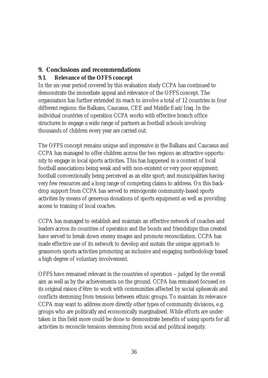# **9. Conclusions and recommendations**

## **9.1. Relevance of the OFFS concept**

In the six-year period covered by this evaluation study CCPA has continued to demonstrate the immediate appeal and relevance of the OFFS concept. The organisation has further extended its reach to involve a total of 12 countries in four different regions: the Balkans, Caucasus, CEE and Middle East/Iraq. In the individual countries of operation CCPA works with effective branch office structures to engage a wide range of partners as football schools involving thousands of children every year are carried out.

The OFFS concept remains unique and impressive in the Balkans and Caucasus and CCPA has managed to offer children across the two regions an attractive opportunity to engage in local sports activities. This has happened in a context of local football associations being weak and with non-existent or very poor equipment; football conventionally being perceived as an elite sport; and municipalities having very few resources and a long range of competing claims to address. On this backdrop support from CCPA has served to reinvigorate community-based sports activities by means of generous donations of sports equipment as well as providing access to training of local coaches.

CCPA has managed to establish and maintain an effective network of coaches and leaders across its countries of operation and the bonds and friendships thus created have served to break down enemy images and promote reconciliation. CCPA has made effective use of its network to develop and sustain the unique approach to grassroots sports activities promoting an inclusive and engaging methodology based a high degree of voluntary involvement.

OFFS have remained relevant in the countries of operation – judged by the overall aim as well as by the achievements on the ground. CCPA has remained focused on its original raison d'être: to work with communities affected by social upheavals and conflicts stemming from tensions between ethnic groups. To maintain its relevance CCPA may want to address more directly other types of community divisions, e.g. groups who are politically and economically marginalised. While efforts are undertaken in this field more could be done to demonstrate benefits of using sports for all activities to reconcile tensions stemming from social and political inequity.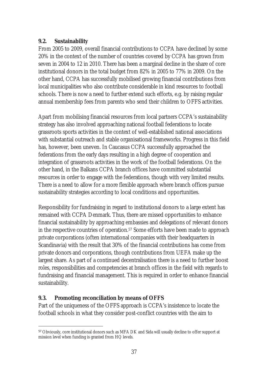## **9.2. Sustainability**

From 2005 to 2009, overall financial contributions to CCPA have declined by some 20% in the context of the number of countries covered by CCPA has grown from seven in 2004 to 12 in 2010. There has been a marginal decline in the share of core institutional donors in the total budget from 82% in 2005 to 77% in 2009. On the other hand, CCPA has successfully mobilised growing financial contributions from local municipalities who also contribute considerable in kind resources to football schools. There is now a need to further extend such efforts, e.g. by raising regular annual membership fees from parents who send their children to OFFS activities.

Apart from mobilising financial resources from local partners CCPA's sustainability strategy has also involved approaching national football federations to locate grassroots sports activities in the context of well-established national associations with substantial outreach and stable organisational frameworks. Progress in this field has, however, been uneven. In Caucasus CCPA successfully approached the federations from the early days resulting in a high degree of cooperation and integration of grassroots activities in the work of the football federations. On the other hand, in the Balkans CCPA branch offices have committed substantial resources in order to engage with the federations, though with very limited results. There is a need to allow for a more flexible approach where branch offices pursue sustainability strategies according to local conditions and opportunities.

Responsibility for fundraising in regard to institutional donors to a large extent has remained with CCPA Denmark. Thus, there are missed opportunities to enhance financial sustainability by approaching embassies and delegations of relevant donors in the respective countries of operation.57 Some efforts have been made to approach private corporations (often international companies with their headquarters in Scandinavia) with the result that 30% of the financial contributions has come from private donors and corporations, though contributions from UEFA make up the largest share. As part of a continued decentralisation there is a need to further boost roles, responsibilities and competencies at branch offices in the field with regards to fundraising and financial management. This is required in order to enhance financial sustainability.

## **9.3. Promoting reconciliation by means of OFFS**

Part of the uniqueness of the OFFS approach is CCPA's insistence to locate the football schools in what they consider post-conflict countries with the aim to

 $\overline{a}$ <sup>57</sup> Obviously, core institutional donors such as MFA DK and Sida will usually decline to offer support at mission level when funding is granted from HQ levels.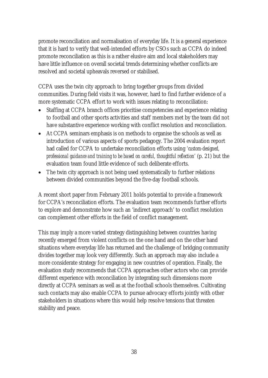promote reconciliation and normalisation of everyday life. It is a general experience that it is hard to verify that well-intended efforts by CSOs such as CCPA do indeed promote reconciliation as this is a rather elusive aim and local stakeholders may have little influence on overall societal trends determining whether conflicts are resolved and societal upheavals reversed or stabilised.

CCPA uses the twin city approach to bring together groups from divided communities. During field visits it was, however, hard to find further evidence of a more systematic CCPA effort to work with issues relating to reconciliation:

- Staffing at CCPA branch offices prioritise competencies and experience relating to football and other sports activities and staff members met by the team did not have substantive experience working with conflict resolution and reconciliation.
- At CCPA seminars emphasis is on methods to organise the schools as well as introduction of various aspects of sports pedagogy. The 2004 evaluation report had called for CCPA to undertake reconciliation efforts using *'custom-designed, professional guidance and training to be based on careful, thoughtful reflection'* (p. 21) but the evaluation team found little evidence of such deliberate efforts.
- The twin city approach is not being used systematically to further relations between divided communities beyond the five-day football schools.

A recent short paper from February 2011 holds potential to provide a framework for CCPA's reconciliation efforts. The evaluation team recommends further efforts to explore and demonstrate how such an 'indirect approach' to conflict resolution can complement other efforts in the field of conflict management.

This may imply a more varied strategy distinguishing between countries having recently emerged from violent conflicts on the one hand and on the other hand situations where everyday life has returned and the challenge of bridging community divides together may look very differently. Such an approach may also include a more considerate strategy for engaging in new countries of operation. Finally, the evaluation study recommends that CCPA approaches other actors who can provide different experience with reconciliation by integrating such dimensions more directly at CCPA seminars as well as at the football schools themselves. Cultivating such contacts may also enable CCPA to pursue advocacy efforts jointly with other stakeholders in situations where this would help resolve tensions that threaten stability and peace.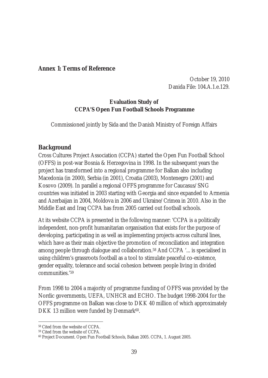#### **Annex 1: Terms of Reference**

October 19, 2010 Danida File: 104.A.1.e.129.

#### **Evaluation Study of CCPA'S Open Fun Football Schools Programme**

Commissioned jointly by Sida and the Danish Ministry of Foreign Affairs

## **Background**

Cross Cultures Project Association (CCPA) started the Open Fun Football School (OFFS) in post-war Bosnia & Herzegovina in 1998. In the subsequent years the project has transformed into a regional programme for Balkan also including Macedonia (in 2000), Serbia (in 2001), Croatia (2003), Montenegro (2001) and Kosovo (2009). In parallel a regional OFFS programme for Caucasus/SNG countries was initiated in 2003 starting with Georgia and since expanded to Armenia and Azerbaijan in 2004, Moldova in 2006 and Ukraine/Crimea in 2010. Also in the Middle East and Iraq CCPA has from 2005 carried out football schools.

At its website CCPA is presented in the following manner: 'CCPA is a politically independent, non-profit humanitarian organisation that exists for the purpose of developing, participating in as well as implementing projects across cultural lines, which have as their main objective the promotion of reconciliation and integration among people through dialogue and collaboration.58 And CCPA '... is specialised in using children's grassroots football as a tool to stimulate peaceful co-existence, gender equality, tolerance and social cohesion between people living in divided communities.'59

From 1998 to 2004 a majority of programme funding of OFFS was provided by the Nordic governments, UEFA, UNHCR and ECHO. The budget 1998-2004 for the OFFS programme on Balkan was close to DKK 40 million of which approximately DKK 13 million were funded by Denmark<sup>60</sup>.

 $\overline{a}$ 58 Cited from the website of CCPA.

<sup>59</sup> Cited from the website of CCPA.

<sup>60</sup> Project Document. Open Fun Football Schools, Balkan 2005. CCPA, 1. August 2005.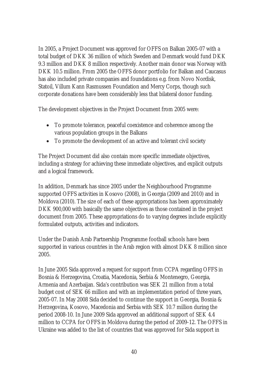In 2005, a Project Document was approved for OFFS on Balkan 2005-07 with a total budget of DKK 36 million of which Sweden and Denmark would fund DKK 9.3 million and DKK 8 million respectively. Another main donor was Norway with DKK 10.5 million. From 2005 the OFFS donor portfolio for Balkan and Caucasus has also included private companies and foundations e.g. from Novo Nordisk, Statoil, Villum Kann Rasmussen Foundation and Mercy Corps, though such corporate donations have been considerably less that bilateral donor funding.

The development objectives in the Project Document from 2005 were:

- To promote tolerance, peaceful coexistence and coherence among the various population groups in the Balkans
- $\bullet$  To promote the development of an active and tolerant civil society

The Project Document did also contain more specific immediate objectives, including a strategy for achieving these immediate objectives, and explicit outputs and a logical framework.

In addition, Denmark has since 2005 under the Neighbourhood Programme supported OFFS activities in Kosovo (2008), in Georgia (2009 and 2010) and in Moldova (2010). The size of each of these appropriations has been approximately DKK 900,000 with basically the same objectives as those contained in the project document from 2005. These appropriations do to varying degrees include explicitly formulated outputs, activities and indicators.

Under the Danish Arab Partnership Programme football schools have been supported in various countries in the Arab region with almost DKK 8 million since 2005.

In June 2005 Sida approved a request for support from CCPA regarding OFFS in Bosnia & Herzegovina, Croatia, Macedonia, Serbia & Montenegro, Georgia, Armenia and Azerbaijan. Sida's contribution was SEK 21 million from a total budget cost of SEK 66 million and with an implementation period of three years, 2005-07. In May 2008 Sida decided to continue the support in Georgia, Bosnia & Herzegovina, Kosovo, Macedonia and Serbia with SEK 10.7 million during the period 2008-10. In June 2009 Sida approved an additional support of SEK 4.4 million to CCPA for OFFS in Moldova during the period of 2009-12. The OFFS in Ukraine was added to the list of countries that was approved for Sida support in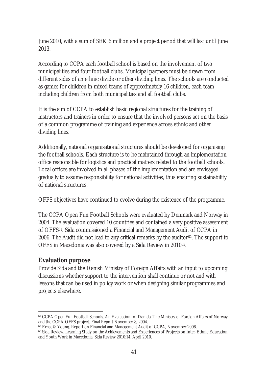June 2010, with a sum of SEK 6 million and a project period that will last until June 2013.

According to CCPA each football school is based on the involvement of two municipalities and four football clubs. Municipal partners must be drawn from different sides of an ethnic divide or other dividing lines. The schools are conducted as games for children in mixed teams of approximately 16 children, each team including children from both municipalities and all football clubs.

It is the aim of CCPA to establish basic regional structures for the training of instructors and trainers in order to ensure that the involved persons act on the basis of a common programme of training and experience across ethnic and other dividing lines.

Additionally, national organisational structures should be developed for organising the football schools. Each structure is to be maintained through an implementation office responsible for logistics and practical matters related to the football schools. Local offices are involved in all phases of the implementation and are envisaged gradually to assume responsibility for national activities, thus ensuring sustainability of national structures.

OFFS objectives have continued to evolve during the existence of the programme.

The CCPA Open Fun Football Schools were evaluated by Denmark and Norway in 2004. The evaluation covered 10 countries and contained a very positive assessment of OFFS61. Sida commissioned a Financial and Management Audit of CCPA in 2006. The Audit did not lead to any critical remarks by the auditor<sup>62</sup>. The support to OFFS in Macedonia was also covered by a Sida Review in 201063.

## **Evaluation purpose**

Provide Sida and the Danish Ministry of Foreign Affairs with an input to upcoming discussions whether support to the intervention shall continue or not and with lessons that can be used in policy work or when designing similar programmes and projects elsewhere.

 $\overline{a}$ 61 CCPA Open Fun Football Schools. An Evaluation for Danida, The Ministry of Foreign Affairs of Norway and the CCPA-OFFS project. Final Report November 8, 2004.

<sup>62</sup> Ernst & Young. Report on Financial and Management Audit of CCPA, November 2006.

<sup>&</sup>lt;sup>63</sup> Sida Review. Learning Study on the Achievements and Experiences of Projects on Inter-Ethnic Education and Youth Work in Macedonia. Sida Review 2010:14. April 2010.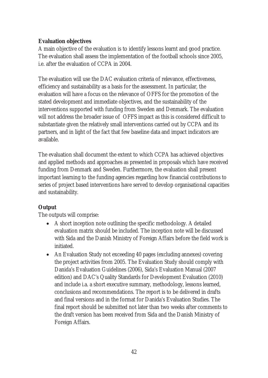## **Evaluation objectives**

A main objective of the evaluation is to identify lessons learnt and good practice. The evaluation shall assess the implementation of the football schools since 2005, i.e. after the evaluation of CCPA in 2004.

The evaluation will use the DAC evaluation criteria of relevance, effectiveness, efficiency and sustainability as a basis for the assessment. In particular, the evaluation will have a focus on the relevance of OFFS for the promotion of the stated development and immediate objectives, and the sustainability of the interventions supported with funding from Sweden and Denmark. The evaluation will not address the broader issue of OFFS impact as this is considered difficult to substantiate given the relatively small interventions carried out by CCPA and its partners, and in light of the fact that few baseline data and impact indicators are available.

The evaluation shall document the extent to which CCPA has achieved objectives and applied methods and approaches as presented in proposals which have received funding from Denmark and Sweden. Furthermore, the evaluation shall present important learning to the funding agencies regarding how financial contributions to series of project based interventions have served to develop organisational capacities and sustainability.

## **Output**

The outputs will comprise:

- A short inception note outlining the specific methodology. A detailed evaluation matrix should be included. The inception note will be discussed with Sida and the Danish Ministry of Foreign Affairs before the field work is initiated.
- An Evaluation Study not exceeding 40 pages (excluding annexes) covering the project activities from 2005. The Evaluation Study should comply with Danida's Evaluation Guidelines (2006), Sida's Evaluation Manual (2007 edition) and DAC's Quality Standards for Development Evaluation (2010) and include i.a. a short executive summary, methodology, lessons learned, conclusions and recommendations. The report is to be delivered in drafts and final versions and in the format for Danida's Evaluation Studies. The final report should be submitted not later than two weeks after comments to the draft version has been received from Sida and the Danish Ministry of Foreign Affairs.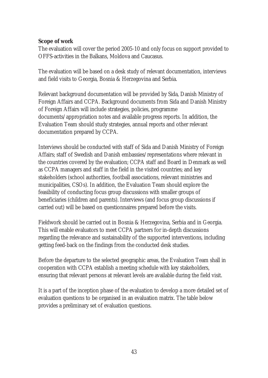#### **Scope of work**

The evaluation will cover the period 2005-10 and only focus on support provided to OFFS-activities in the Balkans, Moldova and Caucasus.

The evaluation will be based on a desk study of relevant documentation, interviews and field visits to Georgia, Bosnia & Herzegovina and Serbia.

Relevant background documentation will be provided by Sida, Danish Ministry of Foreign Affairs and CCPA. Background documents from Sida and Danish Ministry of Foreign Affairs will include strategies, policies, programme documents/appropriation notes and available progress reports. In addition, the Evaluation Team should study strategies, annual reports and other relevant documentation prepared by CCPA.

Interviews should be conducted with staff of Sida and Danish Ministry of Foreign Affairs; staff of Swedish and Danish embassies/representations where relevant in the countries covered by the evaluation; CCPA staff and Board in Denmark as well as CCPA managers and staff in the field in the visited countries; and key stakeholders (school authorities, football associations, relevant ministries and municipalities, CSOs). In addition, the Evaluation Team should explore the feasibility of conducting focus group discussions with smaller groups of beneficiaries (children and parents). Interviews (and focus group discussions if carried out) will be based on questionnaires prepared before the visits.

Fieldwork should be carried out in Bosnia & Herzegovina, Serbia and in Georgia. This will enable evaluators to meet CCPA partners for in-depth discussions regarding the relevance and sustainability of the supported interventions, including getting feed-back on the findings from the conducted desk studies.

Before the departure to the selected geographic areas, the Evaluation Team shall in cooperation with CCPA establish a meeting schedule with key stakeholders, ensuring that relevant persons at relevant levels are available during the field visit.

It is a part of the inception phase of the evaluation to develop a more detailed set of evaluation questions to be organised in an evaluation matrix. The table below provides a preliminary set of evaluation questions.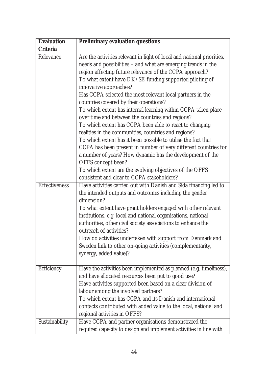| Evaluation     | Preliminary evaluation questions                                                                                                                                                                                                                                                                                                                                                                                                                                                                                                                                                                                                                                                                                                                                                                                                                                                                                                                                         |
|----------------|--------------------------------------------------------------------------------------------------------------------------------------------------------------------------------------------------------------------------------------------------------------------------------------------------------------------------------------------------------------------------------------------------------------------------------------------------------------------------------------------------------------------------------------------------------------------------------------------------------------------------------------------------------------------------------------------------------------------------------------------------------------------------------------------------------------------------------------------------------------------------------------------------------------------------------------------------------------------------|
| Criteria       |                                                                                                                                                                                                                                                                                                                                                                                                                                                                                                                                                                                                                                                                                                                                                                                                                                                                                                                                                                          |
| Relevance      | Are the activities relevant in light of local and national priorities,<br>needs and possibilities - and what are emerging trends in the<br>region affecting future relevance of the CCPA approach?<br>To what extent have DK/SE funding supported piloting of<br>innovative approaches?<br>Has CCPA selected the most relevant local partners in the<br>countries covered by their operations?<br>To which extent has internal learning within CCPA taken place -<br>over time and between the countries and regions?<br>To which extent has CCPA been able to react to changing<br>realities in the communities, countries and regions?<br>To which extent has it been possible to utilise the fact that<br>CCPA has been present in number of very different countries for<br>a number of years? How dynamic has the development of the<br>OFFS concept been?<br>To which extent are the evolving objectives of the OFFS<br>consistent and clear to CCPA stakeholders? |
| Effectiveness  | Have activities carried out with Danish and Sida financing led to<br>the intended outputs and outcomes including the gender<br>dimension?<br>To what extent have grant holders engaged with other relevant<br>institutions, e.g. local and national organisations, national<br>authorities, other civil society associations to enhance the<br>outreach of activities?<br>How do activities undertaken with support from Denmark and<br>Sweden link to other on-going activities (complementarity,<br>synergy, added value)?                                                                                                                                                                                                                                                                                                                                                                                                                                             |
| Efficiency     | Have the activities been implemented as planned (e.g. timeliness),<br>and have allocated resources been put to good use?<br>Have activities supported been based on a clear division of<br>labour among the involved partners?<br>To which extent has CCPA and its Danish and international<br>contacts contributed with added value to the local, national and<br>regional activities in OFFS?                                                                                                                                                                                                                                                                                                                                                                                                                                                                                                                                                                          |
| Sustainability | Have CCPA and partner organisations demonstrated the<br>required capacity to design and implement activities in line with                                                                                                                                                                                                                                                                                                                                                                                                                                                                                                                                                                                                                                                                                                                                                                                                                                                |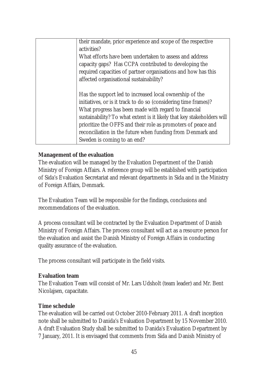| their mandate, prior experience and scope of the respective<br>activities?<br>What efforts have been undertaken to assess and address<br>capacity gaps? Has CCPA contributed to developing the<br>required capacities of partner organisations and how has this<br>affected organisational sustainability?                                                                                                                |
|---------------------------------------------------------------------------------------------------------------------------------------------------------------------------------------------------------------------------------------------------------------------------------------------------------------------------------------------------------------------------------------------------------------------------|
| Has the support led to increased local ownership of the<br>initiatives, or is it track to do so (considering time frames)?<br>What progress has been made with regard to financial<br>sustainability? To what extent is it likely that key stakeholders will<br>prioritize the OFFS and their role as promoters of peace and<br>reconciliation in the future when funding from Denmark and<br>Sweden is coming to an end? |

#### **Management of the evaluation**

The evaluation will be managed by the Evaluation Department of the Danish Ministry of Foreign Affairs. A reference group will be established with participation of Sida's Evaluation Secretariat and relevant departments in Sida and in the Ministry of Foreign Affairs, Denmark.

The Evaluation Team will be responsible for the findings, conclusions and recommendations of the evaluation.

A process consultant will be contracted by the Evaluation Department of Danish Ministry of Foreign Affairs. The process consultant will act as a resource person for the evaluation and assist the Danish Ministry of Foreign Affairs in conducting quality assurance of the evaluation.

The process consultant will participate in the field visits.

#### **Evaluation team**

The Evaluation Team will consist of Mr. Lars Udsholt (team leader) and Mr. Bent Nicolajsen, capacitate.

#### **Time schedule**

The evaluation will be carried out October 2010-February 2011. A draft inception note shall be submitted to Danida's Evaluation Department by 15 November 2010. A draft Evaluation Study shall be submitted to Danida's Evaluation Department by 7 January, 2011. It is envisaged that comments from Sida and Danish Ministry of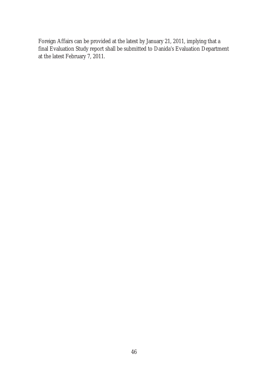Foreign Affairs can be provided at the latest by January 21, 2011, implying that a final Evaluation Study report shall be submitted to Danida's Evaluation Department at the latest February 7, 2011.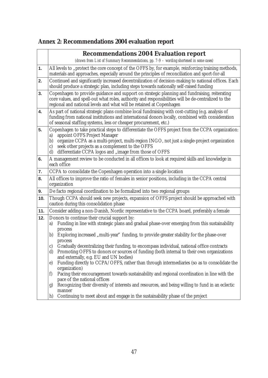| Annex 2: Recommendations 2004 evaluation report |  |
|-------------------------------------------------|--|
|                                                 |  |

|     | Recommendations 2004 Evaluation report                                                                                                                                                                                                                                                                                                                                          |
|-----|---------------------------------------------------------------------------------------------------------------------------------------------------------------------------------------------------------------------------------------------------------------------------------------------------------------------------------------------------------------------------------|
|     | (drawn from List of Summary Recommendations, pp. 7-9 - wording shortened in some cases)                                                                                                                                                                                                                                                                                         |
| 1.  | All levels to "protect the core concept of the OFFS by, for example, reinforcing training methods,<br>materials and approaches, especially around the principles of reconciliation and sport-for-all                                                                                                                                                                            |
| 2.  | Continued and significantly increased decentralization of decision-making to national offices. Each<br>should produce a strategic plan, including steps towards nationally self-raised funding                                                                                                                                                                                  |
| 3.  | Copenhagen to provide guidance and support on strategic planning and fundraising, reiterating<br>core values, and spell-out what roles, authority and responsibilities will be de-centralized to the<br>regional and national levels and what will be retained at Copenhagen                                                                                                    |
| 4.  | As part of national strategic plans combine local fundraising with cost-cutting (e.g. analysis of<br>funding from national institutions and international donors locally, combined with consideration<br>of seasonal staffing systems, less or cheaper procurement, etc.)                                                                                                       |
| 5.  | Copenhagen to take practical steps to differentiate the OFFS project from the CCPA organization:<br>appoint OFFS Project Manager<br>a)<br>organize CCPA as a multi-project, multi-region INGO, not just a single-project organization<br>b)<br>seek other projects as a complement to the OFFS<br>$\mathsf{C})$<br>differentiate CCPA logos and "image from those of OFFS<br>d) |
| 6.  | A management review to be conducted in all offices to look at required skills and knowledge in<br>each office                                                                                                                                                                                                                                                                   |
| 7.  | CCPA to consolidate the Copenhagen operation into a single location                                                                                                                                                                                                                                                                                                             |
| 8.  | All offices to improve the ratio of females in senior positions, including in the CCPA central<br>organization                                                                                                                                                                                                                                                                  |
| 9.  | De facto regional coordination to be formalized into two regional groups                                                                                                                                                                                                                                                                                                        |
| 10. | Though CCPA should seek new projects, expansion of OFFS project should be approached with<br>caution during this consolidation phase                                                                                                                                                                                                                                            |
| 11. | Consider adding a non-Danish, Nordic representative to the CCPA board, preferably a female                                                                                                                                                                                                                                                                                      |
| 12. | Donors to continue their crucial support by:<br>Funding in line with strategic plans and gradual phase-over emerging from this sustainability<br>a)<br>process                                                                                                                                                                                                                  |
|     | Exploring increased "multi-year" funding, to provide greater stability for the phase-over<br>b)<br>process<br>Gradually decentralizing their funding, to encompass individual, national office contracts<br>C)                                                                                                                                                                  |
|     | d)<br>Promoting OFFS to donors or sources of funding (both internal to their own organizations<br>and externally, e.g. EU and UN bodies)                                                                                                                                                                                                                                        |
|     | Funding directly to CCPA/OFFS, rather than through intermediaries (so as to consolidate the<br>e)<br>organization)                                                                                                                                                                                                                                                              |
|     | Pacing their encouragement towards sustainability and regional coordination in line with the<br>f)<br>pace of the national offices                                                                                                                                                                                                                                              |
|     | Recognizing their diversity of interests and resources, and being willing to fund in an eclectic<br>g)<br>manner                                                                                                                                                                                                                                                                |
|     | Continuing to meet about and engage in the sustainability phase of the project<br>h)                                                                                                                                                                                                                                                                                            |